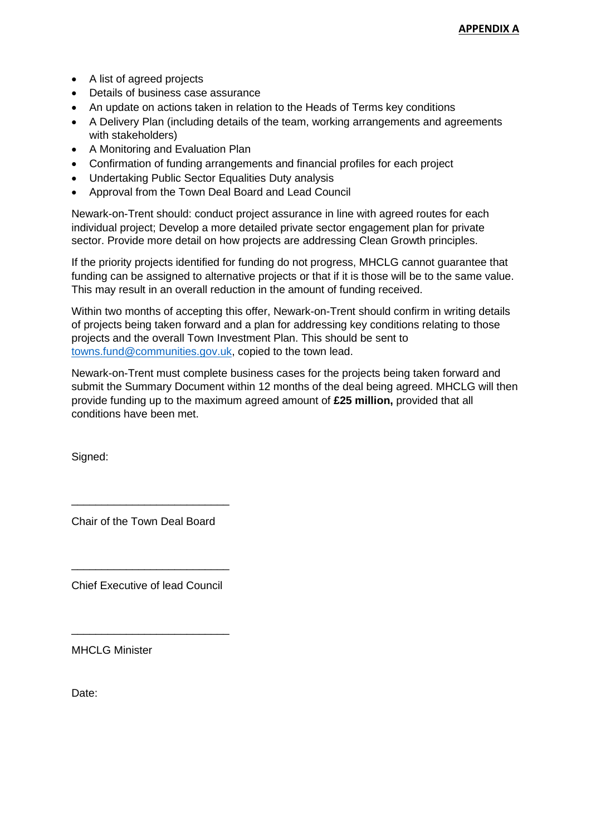- A list of agreed projects
- Details of business case assurance
- An update on actions taken in relation to the Heads of Terms key conditions
- A Delivery Plan (including details of the team, working arrangements and agreements with stakeholders)
- A Monitoring and Evaluation Plan
- Confirmation of funding arrangements and financial profiles for each project
- Undertaking Public Sector Equalities Duty analysis
- Approval from the Town Deal Board and Lead Council

Newark-on-Trent should: conduct project assurance in line with agreed routes for each individual project; Develop a more detailed private sector engagement plan for private sector. Provide more detail on how projects are addressing Clean Growth principles.

If the priority projects identified for funding do not progress, MHCLG cannot guarantee that funding can be assigned to alternative projects or that if it is those will be to the same value. This may result in an overall reduction in the amount of funding received.

Within two months of accepting this offer, Newark-on-Trent should confirm in writing details of projects being taken forward and a plan for addressing key conditions relating to those projects and the overall Town Investment Plan. This should be sent to [towns.fund@communities.gov.uk,](mailto:towns.fund@communities.gov.uk) copied to the town lead.

Newark-on-Trent must complete business cases for the projects being taken forward and submit the Summary Document within 12 months of the deal being agreed. MHCLG will then provide funding up to the maximum agreed amount of **£25 million,** provided that all conditions have been met.

Signed:

Chair of the Town Deal Board

\_\_\_\_\_\_\_\_\_\_\_\_\_\_\_\_\_\_\_\_\_\_\_\_\_\_

Chief Executive of lead Council

\_\_\_\_\_\_\_\_\_\_\_\_\_\_\_\_\_\_\_\_\_\_\_\_\_\_

\_\_\_\_\_\_\_\_\_\_\_\_\_\_\_\_\_\_\_\_\_\_\_\_\_\_

MHCLG Minister

Date: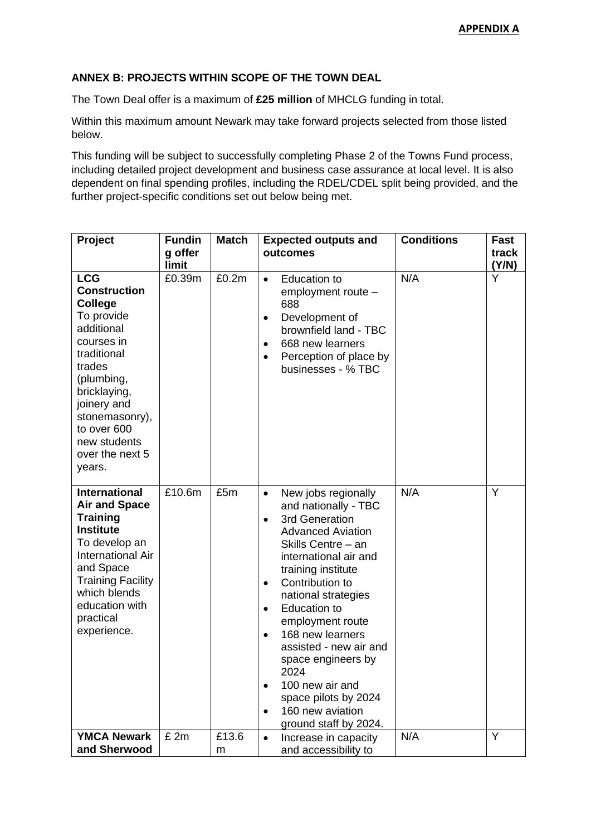## **ANNEX B: PROJECTS WITHIN SCOPE OF THE TOWN DEAL**

The Town Deal offer is a maximum of **£25 million** of MHCLG funding in total.

Within this maximum amount Newark may take forward projects selected from those listed below.

This funding will be subject to successfully completing Phase 2 of the Towns Fund process, including detailed project development and business case assurance at local level. It is also dependent on final spending profiles, including the RDEL/CDEL split being provided, and the further project-specific conditions set out below being met.

| Project                                                                                                                                                                                                                                           | <b>Fundin</b><br>g offer<br>limit | <b>Match</b> | <b>Expected outputs and</b><br>outcomes                                                                                                                                                                                                                                                                                                                                                                                                                                                               | <b>Conditions</b> | Fast<br>track<br>(Y/N) |
|---------------------------------------------------------------------------------------------------------------------------------------------------------------------------------------------------------------------------------------------------|-----------------------------------|--------------|-------------------------------------------------------------------------------------------------------------------------------------------------------------------------------------------------------------------------------------------------------------------------------------------------------------------------------------------------------------------------------------------------------------------------------------------------------------------------------------------------------|-------------------|------------------------|
| <b>LCG</b><br><b>Construction</b><br><b>College</b><br>To provide<br>additional<br>courses in<br>traditional<br>trades<br>(plumbing,<br>bricklaying,<br>joinery and<br>stonemasonry),<br>to over 600<br>new students<br>over the next 5<br>years. | £0.39m                            | £0.2m        | <b>Education to</b><br>$\bullet$<br>employment route -<br>688<br>Development of<br>$\bullet$<br>brownfield land - TBC<br>668 new learners<br>$\bullet$<br>Perception of place by<br>$\bullet$<br>businesses - % TBC                                                                                                                                                                                                                                                                                   | N/A               | Y                      |
| <b>International</b><br><b>Air and Space</b><br><b>Training</b><br><b>Institute</b><br>To develop an<br>International Air<br>and Space<br><b>Training Facility</b><br>which blends<br>education with<br>practical<br>experience.                  | £10.6m                            | £5m          | New jobs regionally<br>$\bullet$<br>and nationally - TBC<br>3rd Generation<br>$\bullet$<br><b>Advanced Aviation</b><br>Skills Centre - an<br>international air and<br>training institute<br>Contribution to<br>$\bullet$<br>national strategies<br><b>Education to</b><br>$\bullet$<br>employment route<br>168 new learners<br>$\bullet$<br>assisted - new air and<br>space engineers by<br>2024<br>100 new air and<br>space pilots by 2024<br>160 new aviation<br>$\bullet$<br>ground staff by 2024. | N/A               | Y                      |
| <b>YMCA Newark</b><br>and Sherwood                                                                                                                                                                                                                | £ 2m                              | £13.6<br>m   | Increase in capacity<br>$\bullet$<br>and accessibility to                                                                                                                                                                                                                                                                                                                                                                                                                                             | N/A               | Y                      |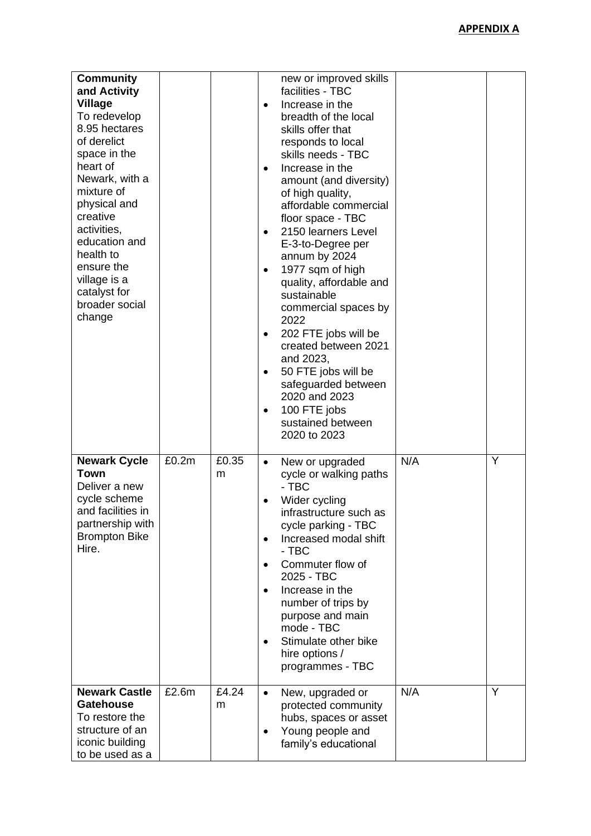| <b>Community</b><br>and Activity<br><b>Village</b><br>To redevelop<br>8.95 hectares<br>of derelict<br>space in the<br>heart of<br>Newark, with a<br>mixture of<br>physical and<br>creative<br>activities,<br>education and<br>health to<br>ensure the<br>village is a<br>catalyst for<br>broader social<br>change |       |            | new or improved skills<br>facilities - TBC<br>Increase in the<br>$\bullet$<br>breadth of the local<br>skills offer that<br>responds to local<br>skills needs - TBC<br>Increase in the<br>$\bullet$<br>amount (and diversity)<br>of high quality,<br>affordable commercial<br>floor space - TBC<br>2150 learners Level<br>E-3-to-Degree per<br>annum by 2024<br>1977 sqm of high<br>$\bullet$<br>quality, affordable and<br>sustainable<br>commercial spaces by<br>2022<br>202 FTE jobs will be<br>٠<br>created between 2021<br>and 2023,<br>50 FTE jobs will be<br>$\bullet$<br>safeguarded between<br>2020 and 2023<br>100 FTE jobs<br>sustained between<br>2020 to 2023 |  |
|-------------------------------------------------------------------------------------------------------------------------------------------------------------------------------------------------------------------------------------------------------------------------------------------------------------------|-------|------------|---------------------------------------------------------------------------------------------------------------------------------------------------------------------------------------------------------------------------------------------------------------------------------------------------------------------------------------------------------------------------------------------------------------------------------------------------------------------------------------------------------------------------------------------------------------------------------------------------------------------------------------------------------------------------|--|
| <b>Newark Cycle</b><br><b>Town</b><br>Deliver a new<br>cycle scheme<br>and facilities in<br>partnership with<br><b>Brompton Bike</b><br>Hire.                                                                                                                                                                     | £0.2m | £0.35<br>m | N/A<br>Y<br>New or upgraded<br>$\bullet$<br>cycle or walking paths<br>- TBC<br>Wider cycling<br>infrastructure such as<br>cycle parking - TBC<br>Increased modal shift<br>$\bullet$<br>- TBC<br>Commuter flow of<br>2025 - TBC<br>Increase in the<br>$\bullet$<br>number of trips by<br>purpose and main<br>mode - TBC<br>Stimulate other bike<br>$\bullet$<br>hire options /<br>programmes - TBC                                                                                                                                                                                                                                                                         |  |
| <b>Newark Castle</b><br><b>Gatehouse</b><br>To restore the<br>structure of an<br>iconic building<br>to be used as a                                                                                                                                                                                               | £2.6m | £4.24<br>m | Y<br>N/A<br>New, upgraded or<br>$\bullet$<br>protected community<br>hubs, spaces or asset<br>Young people and<br>$\bullet$<br>family's educational                                                                                                                                                                                                                                                                                                                                                                                                                                                                                                                        |  |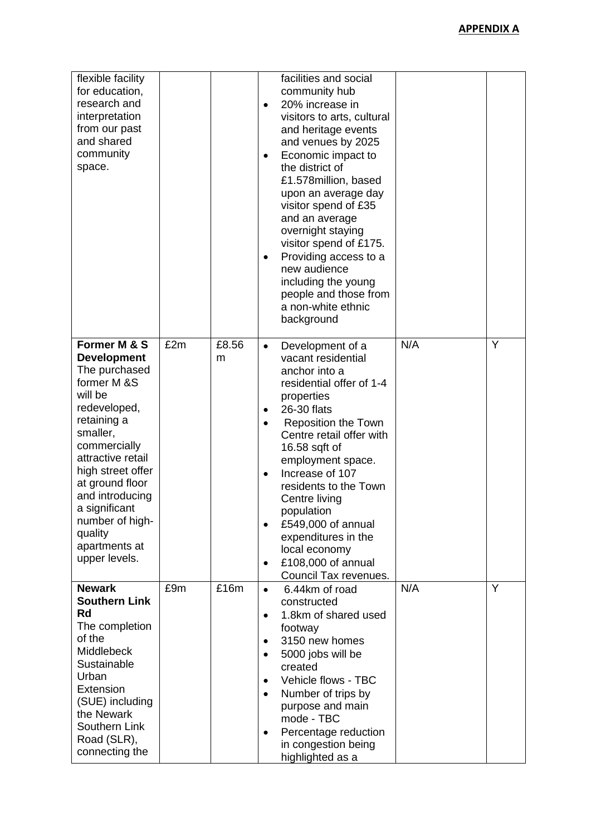| flexible facility<br>for education,<br>research and<br>interpretation<br>from our past<br>and shared<br>community<br>space.                                                                                                                                                                               |     |            | facilities and social<br>community hub<br>20% increase in<br>$\bullet$<br>visitors to arts, cultural<br>and heritage events<br>and venues by 2025<br>Economic impact to<br>the district of<br>£1.578million, based<br>upon an average day<br>visitor spend of £35<br>and an average<br>overnight staying<br>visitor spend of £175.<br>Providing access to a<br>new audience<br>including the young<br>people and those from<br>a non-white ethnic<br>background  |  |
|-----------------------------------------------------------------------------------------------------------------------------------------------------------------------------------------------------------------------------------------------------------------------------------------------------------|-----|------------|------------------------------------------------------------------------------------------------------------------------------------------------------------------------------------------------------------------------------------------------------------------------------------------------------------------------------------------------------------------------------------------------------------------------------------------------------------------|--|
| Former M & S<br><b>Development</b><br>The purchased<br>former M &S<br>will be<br>redeveloped,<br>retaining a<br>smaller,<br>commercially<br>attractive retail<br>high street offer<br>at ground floor<br>and introducing<br>a significant<br>number of high-<br>quality<br>apartments at<br>upper levels. | £2m | £8.56<br>m | N/A<br>Y<br>Development of a<br>$\bullet$<br>vacant residential<br>anchor into a<br>residential offer of 1-4<br>properties<br>26-30 flats<br>٠<br><b>Reposition the Town</b><br>Centre retail offer with<br>16.58 sqft of<br>employment space.<br>Increase of 107<br>$\bullet$<br>residents to the Town<br>Centre living<br>population<br>£549,000 of annual<br>expenditures in the<br>local economy<br>£108,000 of annual<br>$\bullet$<br>Council Tax revenues. |  |
| <b>Newark</b><br><b>Southern Link</b><br>Rd<br>The completion<br>of the<br>Middlebeck<br>Sustainable<br>Urban<br>Extension<br>(SUE) including<br>the Newark<br>Southern Link<br>Road (SLR),<br>connecting the                                                                                             | £9m | £16m       | Y<br>N/A<br>6.44km of road<br>$\bullet$<br>constructed<br>1.8km of shared used<br>$\bullet$<br>footway<br>3150 new homes<br>$\bullet$<br>5000 jobs will be<br>$\bullet$<br>created<br>Vehicle flows - TBC<br>$\bullet$<br>Number of trips by<br>$\bullet$<br>purpose and main<br>mode - TBC<br>Percentage reduction<br>$\bullet$<br>in congestion being<br>highlighted as a                                                                                      |  |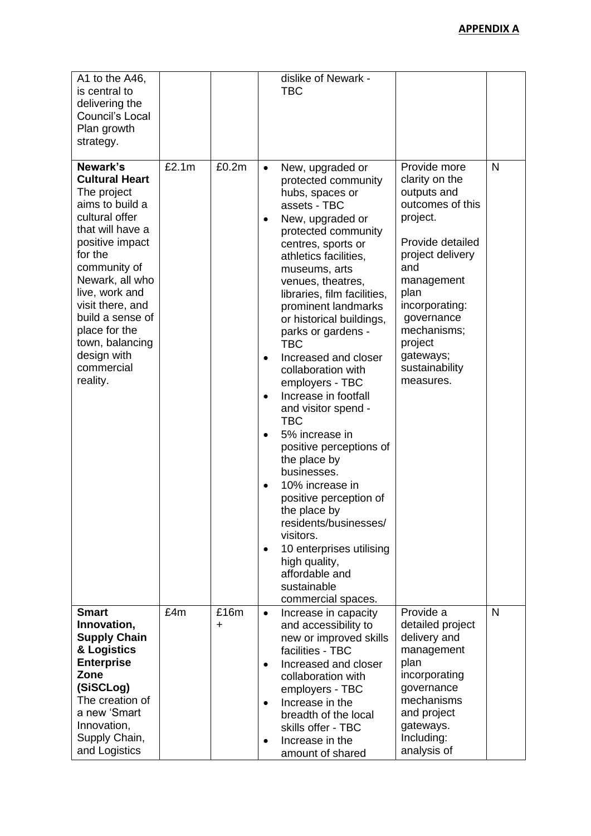| A1 to the A46,<br>is central to<br>delivering the<br>Council's Local<br>Plan growth<br>strategy.                                                                                                                                                                                                                  |       |           | dislike of Newark -<br><b>TBC</b>                                                                                                                                                                                                                                                                                                                                                                                                                                                                                                                                                                                                                                                                                                                                                                                                                                                                                                                                                                                                                                                                        |              |
|-------------------------------------------------------------------------------------------------------------------------------------------------------------------------------------------------------------------------------------------------------------------------------------------------------------------|-------|-----------|----------------------------------------------------------------------------------------------------------------------------------------------------------------------------------------------------------------------------------------------------------------------------------------------------------------------------------------------------------------------------------------------------------------------------------------------------------------------------------------------------------------------------------------------------------------------------------------------------------------------------------------------------------------------------------------------------------------------------------------------------------------------------------------------------------------------------------------------------------------------------------------------------------------------------------------------------------------------------------------------------------------------------------------------------------------------------------------------------------|--------------|
| Newark's<br><b>Cultural Heart</b><br>The project<br>aims to build a<br>cultural offer<br>that will have a<br>positive impact<br>for the<br>community of<br>Newark, all who<br>live, work and<br>visit there, and<br>build a sense of<br>place for the<br>town, balancing<br>design with<br>commercial<br>reality. | £2.1m | £0.2m     | Provide more<br>New, upgraded or<br>$\bullet$<br>clarity on the<br>protected community<br>outputs and<br>hubs, spaces or<br>outcomes of this<br>assets - TBC<br>project.<br>New, upgraded or<br>$\bullet$<br>protected community<br>Provide detailed<br>centres, sports or<br>project delivery<br>athletics facilities,<br>and<br>museums, arts<br>management<br>venues, theatres,<br>plan<br>libraries, film facilities,<br>incorporating:<br>prominent landmarks<br>governance<br>or historical buildings,<br>mechanisms;<br>parks or gardens -<br>project<br><b>TBC</b><br>gateways;<br>Increased and closer<br>$\bullet$<br>sustainability<br>collaboration with<br>measures.<br>employers - TBC<br>Increase in footfall<br>$\bullet$<br>and visitor spend -<br><b>TBC</b><br>5% increase in<br>$\bullet$<br>positive perceptions of<br>the place by<br>businesses.<br>10% increase in<br>$\bullet$<br>positive perception of<br>the place by<br>residents/businesses/<br>visitors.<br>10 enterprises utilising<br>$\bullet$<br>high quality,<br>affordable and<br>sustainable<br>commercial spaces. | N            |
| <b>Smart</b><br>Innovation,<br><b>Supply Chain</b><br>& Logistics<br><b>Enterprise</b><br>Zone<br>(SiSCLog)<br>The creation of<br>a new 'Smart<br>Innovation,<br>Supply Chain,<br>and Logistics                                                                                                                   | £4m   | £16m<br>+ | Provide a<br>Increase in capacity<br>$\bullet$<br>and accessibility to<br>detailed project<br>delivery and<br>new or improved skills<br>facilities - TBC<br>management<br>plan<br>Increased and closer<br>$\bullet$<br>incorporating<br>collaboration with<br>governance<br>employers - TBC<br>mechanisms<br>Increase in the<br>$\bullet$<br>and project<br>breadth of the local<br>gateways.<br>skills offer - TBC<br>Including:<br>Increase in the<br>$\bullet$<br>analysis of                                                                                                                                                                                                                                                                                                                                                                                                                                                                                                                                                                                                                         | $\mathsf{N}$ |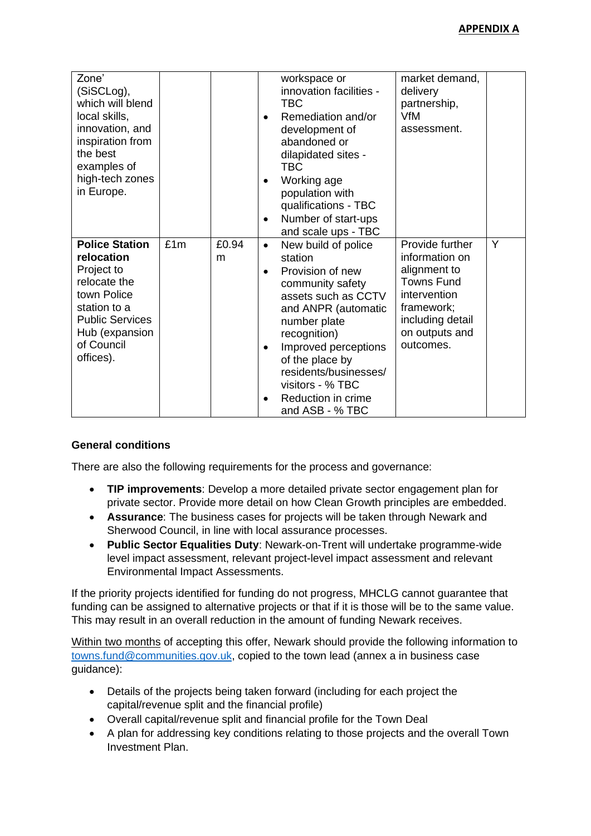| Zone'<br>(SiSCLog),<br>which will blend<br>local skills,<br>innovation, and<br>inspiration from<br>the best<br>examples of<br>high-tech zones<br>in Europe.             |     |            |                                     | workspace or<br>innovation facilities -<br><b>TBC</b><br>Remediation and/or<br>development of<br>abandoned or<br>dilapidated sites -<br>TBC<br>Working age<br>population with<br>qualifications - TBC<br>Number of start-ups<br>and scale ups - TBC                                   | market demand,<br>delivery<br>partnership,<br><b>VfM</b><br>assessment.                                                                                 |   |
|-------------------------------------------------------------------------------------------------------------------------------------------------------------------------|-----|------------|-------------------------------------|---------------------------------------------------------------------------------------------------------------------------------------------------------------------------------------------------------------------------------------------------------------------------------------|---------------------------------------------------------------------------------------------------------------------------------------------------------|---|
| <b>Police Station</b><br>relocation<br>Project to<br>relocate the<br>town Police<br>station to a<br><b>Public Services</b><br>Hub (expansion<br>of Council<br>offices). | £1m | £0.94<br>m | $\bullet$<br>$\bullet$<br>$\bullet$ | New build of police<br>station<br>Provision of new<br>community safety<br>assets such as CCTV<br>and ANPR (automatic<br>number plate<br>recognition)<br>Improved perceptions<br>of the place by<br>residents/businesses/<br>visitors - % TBC<br>Reduction in crime<br>and ASB - % TBC | Provide further<br>information on<br>alignment to<br><b>Towns Fund</b><br>intervention<br>framework;<br>including detail<br>on outputs and<br>outcomes. | Y |

## **General conditions**

There are also the following requirements for the process and governance:

- **TIP improvements**: Develop a more detailed private sector engagement plan for private sector. Provide more detail on how Clean Growth principles are embedded.
- **Assurance**: The business cases for projects will be taken through Newark and Sherwood Council, in line with local assurance processes.
- **Public Sector Equalities Duty**: Newark-on-Trent will undertake programme-wide level impact assessment, relevant project-level impact assessment and relevant Environmental Impact Assessments.

If the priority projects identified for funding do not progress, MHCLG cannot guarantee that funding can be assigned to alternative projects or that if it is those will be to the same value. This may result in an overall reduction in the amount of funding Newark receives.

Within two months of accepting this offer, Newark should provide the following information to [towns.fund@communities.gov.uk,](mailto:towns.fund@communities.gov.uk) copied to the town lead (annex a in business case guidance):

- Details of the projects being taken forward (including for each project the capital/revenue split and the financial profile)
- Overall capital/revenue split and financial profile for the Town Deal
- A plan for addressing key conditions relating to those projects and the overall Town Investment Plan.